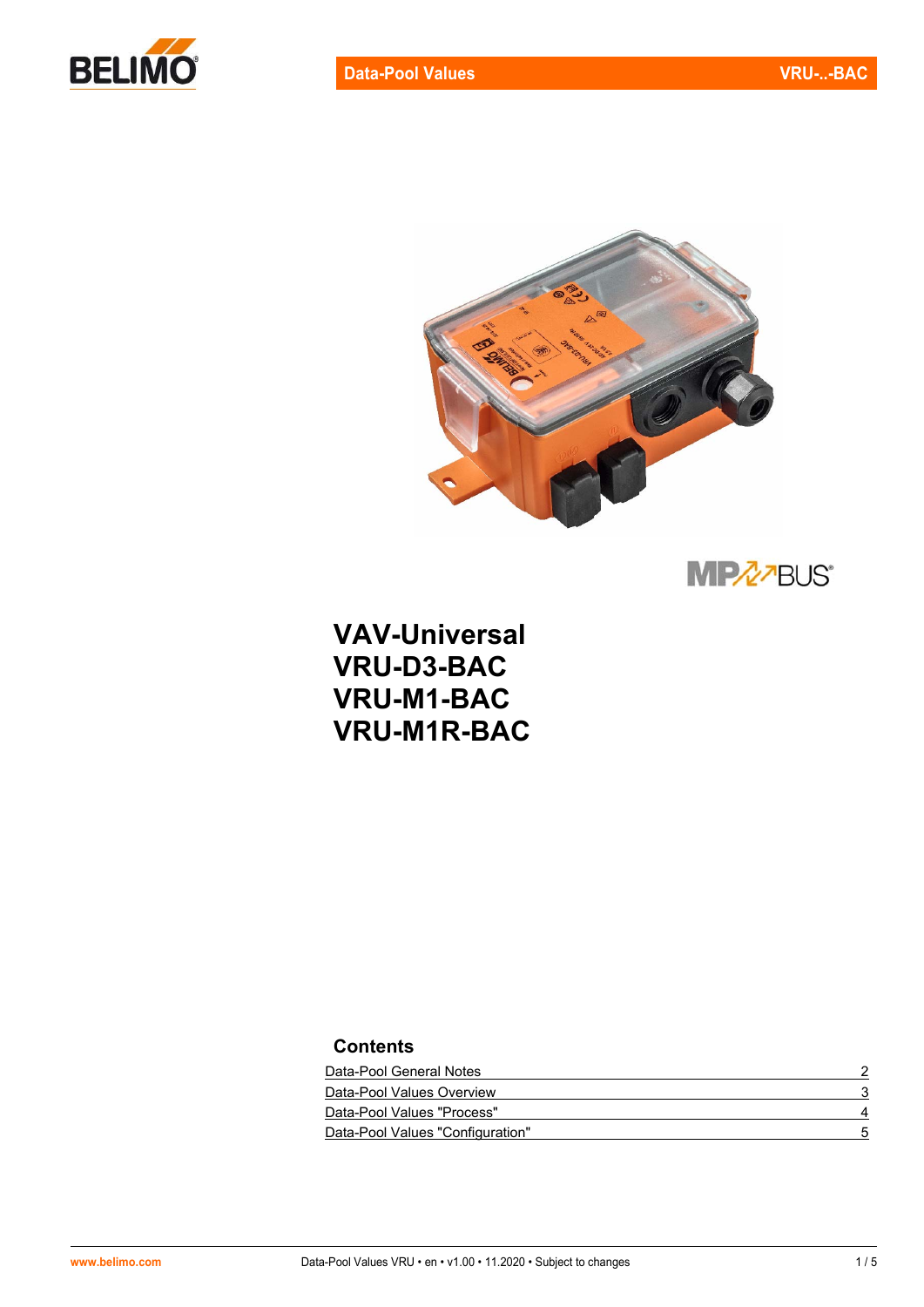



**MPZZBUS®** 

**VAV-Universal VRU-D3-BAC VRU-M1-BAC VRU-M1R-BAC** 

## **Contents**

| Data-Pool General Notes          |  |
|----------------------------------|--|
| Data-Pool Values Overview        |  |
| Data-Pool Values "Process"       |  |
| Data-Pool Values "Configuration" |  |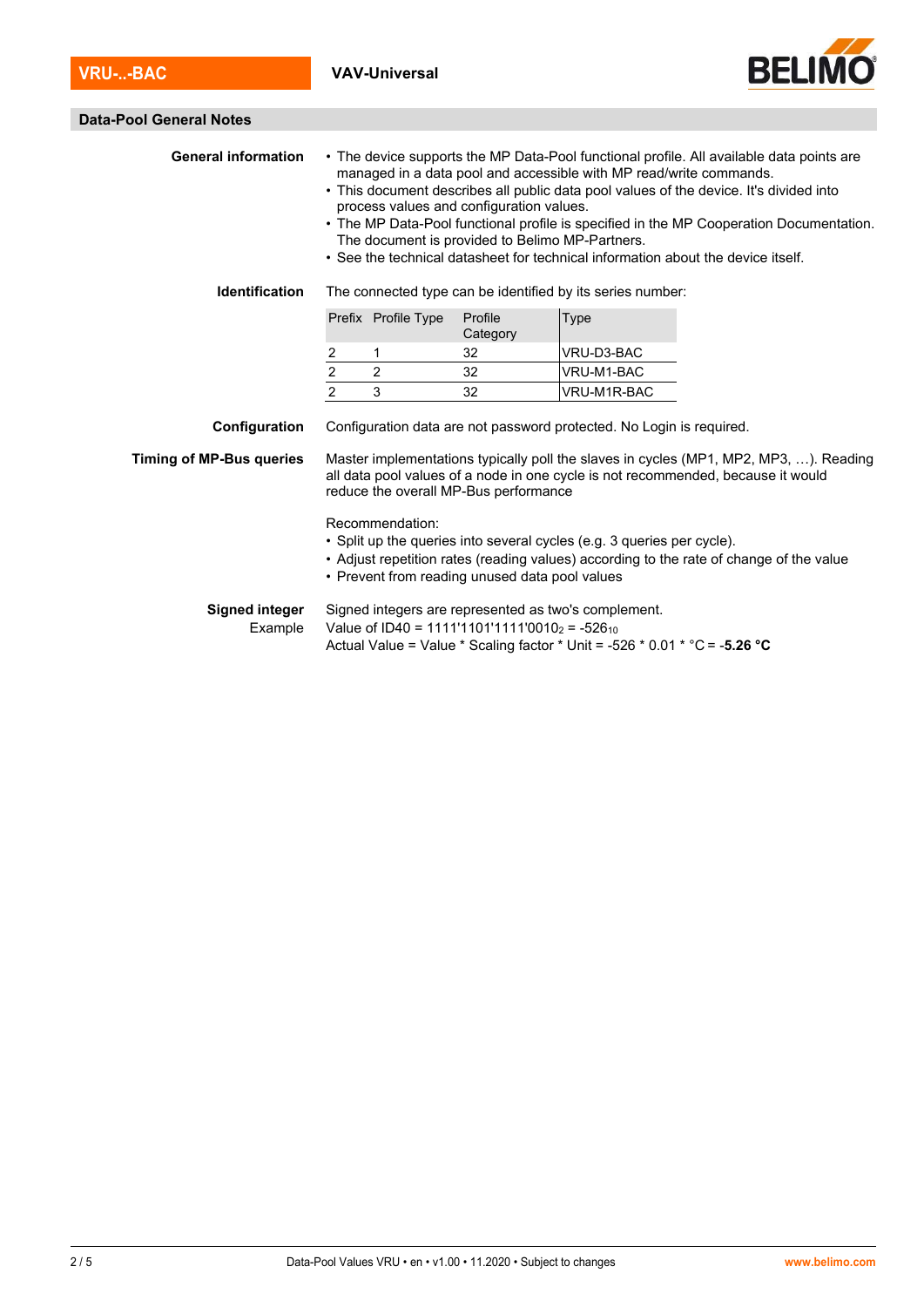

| <b>Data-Pool General Notes</b>                                                                                                                                                                                                                                                                        |                                                                                                                                                                                                                                                                                                                                                                                                                                                                                                                                        |                     |                     |             |  |  |
|-------------------------------------------------------------------------------------------------------------------------------------------------------------------------------------------------------------------------------------------------------------------------------------------------------|----------------------------------------------------------------------------------------------------------------------------------------------------------------------------------------------------------------------------------------------------------------------------------------------------------------------------------------------------------------------------------------------------------------------------------------------------------------------------------------------------------------------------------------|---------------------|---------------------|-------------|--|--|
| <b>General information</b>                                                                                                                                                                                                                                                                            | • The device supports the MP Data-Pool functional profile. All available data points are<br>managed in a data pool and accessible with MP read/write commands.<br>• This document describes all public data pool values of the device. It's divided into<br>process values and configuration values.<br>• The MP Data-Pool functional profile is specified in the MP Cooperation Documentation.<br>The document is provided to Belimo MP-Partners.<br>• See the technical datasheet for technical information about the device itself. |                     |                     |             |  |  |
| <b>Identification</b>                                                                                                                                                                                                                                                                                 | The connected type can be identified by its series number:                                                                                                                                                                                                                                                                                                                                                                                                                                                                             |                     |                     |             |  |  |
|                                                                                                                                                                                                                                                                                                       |                                                                                                                                                                                                                                                                                                                                                                                                                                                                                                                                        | Prefix Profile Type | Profile<br>Category | Type        |  |  |
|                                                                                                                                                                                                                                                                                                       | 2                                                                                                                                                                                                                                                                                                                                                                                                                                                                                                                                      | 1                   | 32                  | VRU-D3-BAC  |  |  |
|                                                                                                                                                                                                                                                                                                       | $\overline{2}$                                                                                                                                                                                                                                                                                                                                                                                                                                                                                                                         | 2                   | 32                  | VRU-M1-BAC  |  |  |
|                                                                                                                                                                                                                                                                                                       | $\overline{2}$                                                                                                                                                                                                                                                                                                                                                                                                                                                                                                                         | 3                   | 32                  | VRU-M1R-BAC |  |  |
| Configuration<br>Configuration data are not password protected. No Login is required.<br>Master implementations typically poll the slaves in cycles (MP1, MP2, MP3, ). Reading<br><b>Timing of MP-Bus queries</b><br>all data pool values of a node in one cycle is not recommended, because it would |                                                                                                                                                                                                                                                                                                                                                                                                                                                                                                                                        |                     |                     |             |  |  |
| reduce the overall MP-Bus performance                                                                                                                                                                                                                                                                 |                                                                                                                                                                                                                                                                                                                                                                                                                                                                                                                                        |                     |                     |             |  |  |
|                                                                                                                                                                                                                                                                                                       | Recommendation:<br>• Split up the queries into several cycles (e.g. 3 queries per cycle).<br>• Adjust repetition rates (reading values) according to the rate of change of the value<br>• Prevent from reading unused data pool values                                                                                                                                                                                                                                                                                                 |                     |                     |             |  |  |
| <b>Signed integer</b><br>Example                                                                                                                                                                                                                                                                      | Signed integers are represented as two's complement.<br>Value of ID40 = 1111'1101'1111'0010 <sub>2</sub> = -526 <sub>10</sub><br>Actual Value = Value * Scaling factor * Unit = -526 * 0.01 * °C = -5.26 °C                                                                                                                                                                                                                                                                                                                            |                     |                     |             |  |  |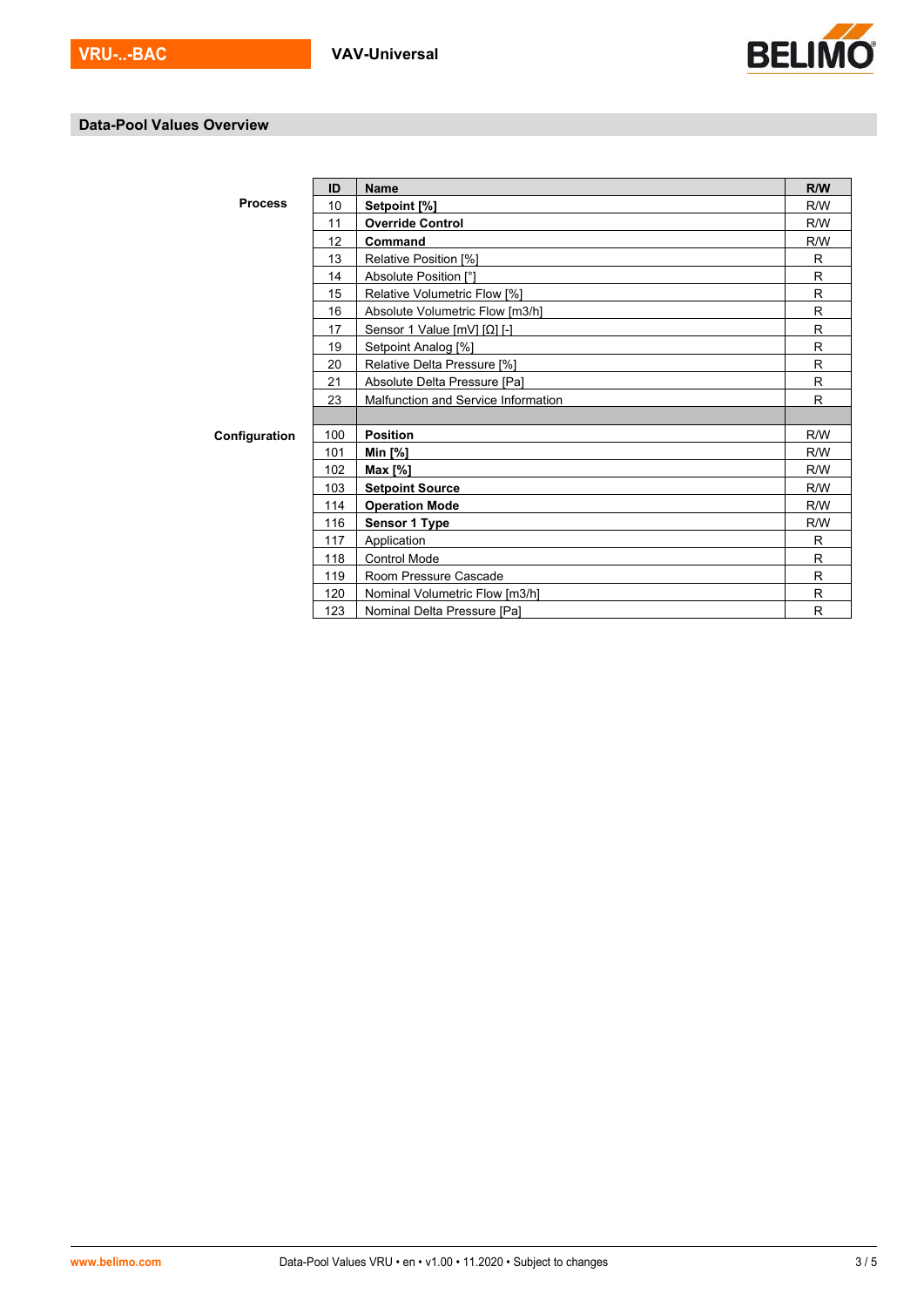

## **Data-Pool Values Overview**

 $\mathbf{r}$ 

|                | ID                                    | <b>Name</b>                         | R/W |  |  |  |  |
|----------------|---------------------------------------|-------------------------------------|-----|--|--|--|--|
| <b>Process</b> | 10                                    | Setpoint [%]                        |     |  |  |  |  |
|                | 11                                    | <b>Override Control</b>             | R/W |  |  |  |  |
|                | 12                                    | Command                             | R/W |  |  |  |  |
|                | 13                                    | Relative Position [%]               | R   |  |  |  |  |
|                | 14                                    | Absolute Position [°]               | R   |  |  |  |  |
|                | 15                                    | Relative Volumetric Flow [%]        |     |  |  |  |  |
|                | 16<br>Absolute Volumetric Flow [m3/h] |                                     |     |  |  |  |  |
|                | R                                     |                                     |     |  |  |  |  |
|                | 19                                    | Setpoint Analog [%]                 | R   |  |  |  |  |
|                | 20                                    | Relative Delta Pressure [%]         | R   |  |  |  |  |
|                | 21                                    | Absolute Delta Pressure [Pa]        | R   |  |  |  |  |
|                | 23                                    | Malfunction and Service Information | R   |  |  |  |  |
|                |                                       |                                     |     |  |  |  |  |
| Configuration  | 100                                   | <b>Position</b>                     | R/W |  |  |  |  |
|                | 101                                   | <b>Min [%]</b>                      | R/W |  |  |  |  |
|                | 102                                   | Max [%]                             | R/W |  |  |  |  |
|                | 103                                   | <b>Setpoint Source</b>              | R/W |  |  |  |  |
|                | 114                                   | <b>Operation Mode</b>               | R/W |  |  |  |  |
|                | 116                                   | Sensor 1 Type                       | R/W |  |  |  |  |
|                | 117                                   | Application                         | R   |  |  |  |  |
|                | 118                                   | <b>Control Mode</b>                 | R   |  |  |  |  |
|                | 119                                   | Room Pressure Cascade               | R   |  |  |  |  |
|                | 120                                   | Nominal Volumetric Flow [m3/h]      | R   |  |  |  |  |
|                | 123                                   | Nominal Delta Pressure [Pa]         | R   |  |  |  |  |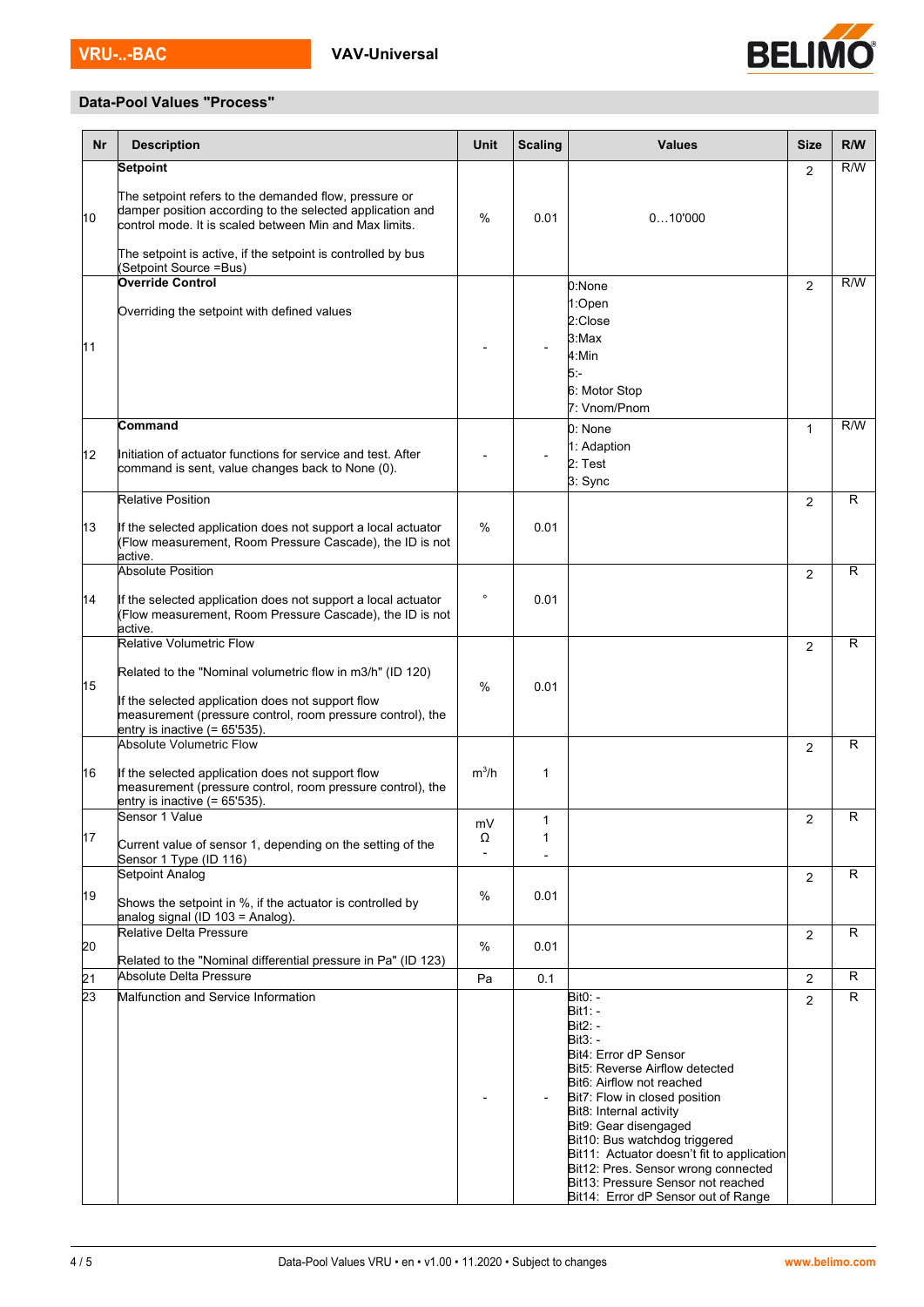

## **Data-Pool Values "Process"**

| <b>Nr</b> | <b>Description</b>                                                                                                                                                           | Unit    | <b>Scaling</b>   | <b>Values</b>                                                                                                                                                                                                                                                                                                                                                              | <b>Size</b>    | R/W          |
|-----------|------------------------------------------------------------------------------------------------------------------------------------------------------------------------------|---------|------------------|----------------------------------------------------------------------------------------------------------------------------------------------------------------------------------------------------------------------------------------------------------------------------------------------------------------------------------------------------------------------------|----------------|--------------|
|           | <b>Setpoint</b>                                                                                                                                                              |         |                  |                                                                                                                                                                                                                                                                                                                                                                            | $\overline{2}$ | R/W          |
| 10        | The setpoint refers to the demanded flow, pressure or<br>damper position according to the selected application and<br>control mode. It is scaled between Min and Max limits. | $\%$    | 0.01             | 010'000                                                                                                                                                                                                                                                                                                                                                                    |                |              |
|           | The setpoint is active, if the setpoint is controlled by bus<br>Setpoint Source =Bus)                                                                                        |         |                  |                                                                                                                                                                                                                                                                                                                                                                            |                |              |
|           | Override Control                                                                                                                                                             |         |                  | 0:None<br>1:Open                                                                                                                                                                                                                                                                                                                                                           | 2              | R/W          |
| 11        | Overriding the setpoint with defined values                                                                                                                                  |         |                  | 2:Close<br>3:Max<br>4:Min<br>5:-                                                                                                                                                                                                                                                                                                                                           |                |              |
|           |                                                                                                                                                                              |         |                  | 6: Motor Stop<br>7: Vnom/Pnom                                                                                                                                                                                                                                                                                                                                              |                |              |
| 12        | Command<br>Initiation of actuator functions for service and test. After<br>command is sent, value changes back to None (0).                                                  |         |                  | 0: None<br>1: Adaption<br>2: Test<br>3: Sync                                                                                                                                                                                                                                                                                                                               | $\mathbf{1}$   | R/W          |
|           | <b>Relative Position</b>                                                                                                                                                     |         |                  |                                                                                                                                                                                                                                                                                                                                                                            | $\overline{2}$ | R            |
| 13        | If the selected application does not support a local actuator<br>(Flow measurement, Room Pressure Cascade), the ID is not<br>active.                                         | $\%$    | 0.01             |                                                                                                                                                                                                                                                                                                                                                                            |                |              |
|           | <b>Absolute Position</b>                                                                                                                                                     |         |                  |                                                                                                                                                                                                                                                                                                                                                                            | 2              | R            |
| 14        | If the selected application does not support a local actuator<br>(Flow measurement, Room Pressure Cascade), the ID is not<br>active.                                         | $\circ$ | 0.01             |                                                                                                                                                                                                                                                                                                                                                                            |                |              |
|           | <b>Relative Volumetric Flow</b>                                                                                                                                              |         |                  |                                                                                                                                                                                                                                                                                                                                                                            | 2              | R            |
| 15        | Related to the "Nominal volumetric flow in m3/h" (ID 120)<br>If the selected application does not support flow<br>measurement (pressure control, room pressure control), the | $\%$    | 0.01             |                                                                                                                                                                                                                                                                                                                                                                            |                |              |
|           | entry is inactive $(= 65.535)$ .<br><b>Absolute Volumetric Flow</b>                                                                                                          |         |                  |                                                                                                                                                                                                                                                                                                                                                                            | $\overline{2}$ | $\mathsf{R}$ |
| 16        | If the selected application does not support flow<br>measurement (pressure control, room pressure control), the<br>entry is inactive $(= 65.535)$ .                          | $m^3/h$ | $\mathbf 1$      |                                                                                                                                                                                                                                                                                                                                                                            |                |              |
| 17        | Sensor 1 Value                                                                                                                                                               | mV<br>Ω | $\mathbf 1$<br>1 |                                                                                                                                                                                                                                                                                                                                                                            | $\overline{2}$ | $\mathsf{R}$ |
|           | Current value of sensor 1, depending on the setting of the<br>Sensor 1 Type (ID 116)                                                                                         |         |                  |                                                                                                                                                                                                                                                                                                                                                                            |                |              |
|           | Setpoint Analog                                                                                                                                                              |         |                  |                                                                                                                                                                                                                                                                                                                                                                            | 2              | R            |
| 19        | Shows the setpoint in %, if the actuator is controlled by<br>analog signal (ID 103 = Analog).                                                                                | %       | 0.01             |                                                                                                                                                                                                                                                                                                                                                                            |                |              |
| 20        | <b>Relative Delta Pressure</b>                                                                                                                                               | %       | 0.01             |                                                                                                                                                                                                                                                                                                                                                                            | $\overline{2}$ | R            |
| 21        | Related to the "Nominal differential pressure in Pa" (ID 123)<br>Absolute Delta Pressure                                                                                     | Pa      | 0.1              |                                                                                                                                                                                                                                                                                                                                                                            | $\overline{2}$ | R            |
| 23        | Malfunction and Service Information                                                                                                                                          |         |                  | Bit0: -                                                                                                                                                                                                                                                                                                                                                                    | $\overline{2}$ | R            |
|           |                                                                                                                                                                              |         |                  | $Bit1 -$<br>Bit $2:$ -<br>Bit3: -<br>Bit4: Error dP Sensor<br>Bit5: Reverse Airflow detected<br>Bit6: Airflow not reached<br>Bit7: Flow in closed position<br>Bit8: Internal activity<br>Bit9: Gear disengaged<br>Bit10: Bus watchdog triggered<br>Bit11: Actuator doesn't fit to application<br>Bit12: Pres. Sensor wrong connected<br>Bit13: Pressure Sensor not reached |                |              |
|           |                                                                                                                                                                              |         |                  | Bit14: Error dP Sensor out of Range                                                                                                                                                                                                                                                                                                                                        |                |              |